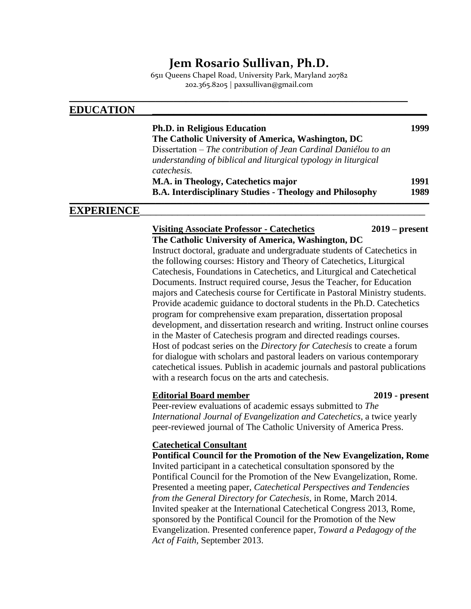# **Jem Rosario Sullivan, Ph.D.**

6511 Queens Chapel Road, University Park, Maryland 20782 202.365.8205 | paxsullivan@gmail.com

**\_\_\_\_\_\_\_\_\_\_\_\_\_\_\_\_\_\_\_\_\_\_\_\_\_\_\_\_\_\_\_\_\_\_\_\_\_\_\_\_\_\_\_\_\_\_\_\_\_\_\_\_\_\_\_**

### **EDUCATION \_\_\_\_\_\_\_\_\_\_\_\_\_\_\_\_\_\_\_\_\_\_\_\_\_\_\_\_\_\_\_\_\_\_\_\_\_\_\_\_\_\_\_\_\_\_\_\_\_\_\_**

| <b>Ph.D.</b> in Religious Education                             | 1999 |
|-----------------------------------------------------------------|------|
| The Catholic University of America, Washington, DC              |      |
| Dissertation – The contribution of Jean Cardinal Daniélou to an |      |
| understanding of biblical and liturgical typology in liturgical |      |
| catechesis.                                                     |      |
| M.A. in Theology, Catechetics major                             | 1991 |
| <b>B.A. Interdisciplinary Studies - Theology and Philosophy</b> | 1989 |
|                                                                 |      |

### **EXPERIENCE**

**Visiting Associate Professor - Catechetics 2019 – present The Catholic University of America, Washington, DC** Instruct doctoral, graduate and undergraduate students of Catechetics in the following courses: History and Theory of Catechetics, Liturgical Catechesis, Foundations in Catechetics, and Liturgical and Catechetical Documents. Instruct required course, Jesus the Teacher, for Education majors and Catechesis course for Certificate in Pastoral Ministry students. Provide academic guidance to doctoral students in the Ph.D. Catechetics program for comprehensive exam preparation, dissertation proposal development, and dissertation research and writing. Instruct online courses in the Master of Catechesis program and directed readings courses. Host of podcast series on the *Directory for Catechesis* to create a forum for dialogue with scholars and pastoral leaders on various contemporary catechetical issues. Publish in academic journals and pastoral publications with a research focus on the arts and cate chesis.

#### **Editorial Board member 2019 - present**

Peer-review evaluations of academic essays submitted to *The International Journal of Evangelization and Catechetics*, a twice yearly peer-reviewed journal of The Catholic University of America Press.

#### **Catechetical Consultant**

**Pontifical Council for the Promotion of the New Evangelization, Rome** Invited participant in a catechetical consultation sponsored by the Pontifical Council for the Promotion of the New Evangelization, Rome. Presented a meeting paper, *Catechetical Perspectives and Tendencies from the General Directory for Catechesis*, in Rome, March 2014. Invited speaker at the International Catechetical Congress 2013, Rome, sponsored by the Pontifical Council for the Promotion of the New Evangelization. Presented conference paper, *Toward a Pedagogy of the Act of Faith,* September 2013.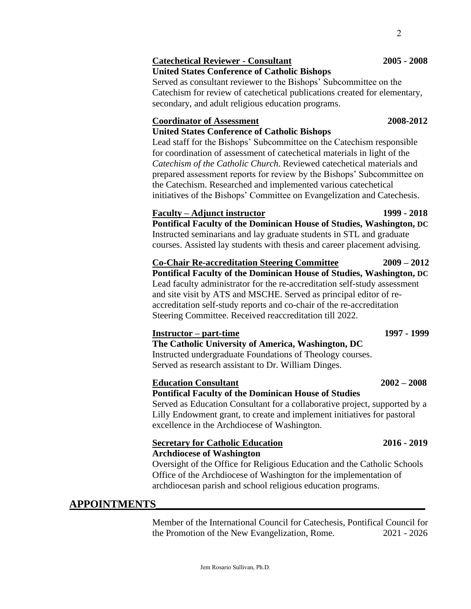# **Catechetical Reviewer - Consultant 2005 - 2008**

**United States Conference of Catholic Bishops**

Served as consultant reviewer to the Bishops' Subcommittee on the Catechism for review of catechetical publications created for elementary, secondary, and adult religious education programs.

#### **Coordinator of Assessment 2008-2012**

### **United States Conference of Catholic Bishops**

Lead staff for the Bishops' Subcommittee on the Catechism responsible for coordination of assessment of catechetical materials in light of the *Catechism of the Catholic Church*. Reviewed catechetical materials and prepared assessment reports for review by the Bishops' Subcommittee on the Catechism. Researched and implemented various catechetical initiatives of the Bishops' Committee on Evangelization and Catechesis.

### **Faculty – Adjunct instructor 1999 - 2018**

**Pontifical Faculty of the Dominican House of Studies, Washington, DC** Instructed seminarians and lay graduate students in STL and graduate courses. Assisted lay students with thesis and career placement advising.

**Co-Chair Re-accreditation Steering Committee 2009 – 2012 Pontifical Faculty of the Dominican House of Studies, Washington, DC** Lead faculty administrator for the re-accreditation self-study assessment and site visit by ATS and MSCHE. Served as principal editor of reaccreditation self-study reports and co-chair of the re-accreditation Steering Committee. Received reaccreditation till 2022.

### **Instructor – part-time 1997 - 1999**

**The Catholic University of America, Washington, DC** Instructed undergraduate Foundations of Theology courses. Served as research assistant to Dr. William Dinges.

### **Education Consultant 2002 – 2008**

## **Pontifical Faculty of the Dominican House of Studies**

Served as Education Consultant for a collaborative project, supported by a Lilly Endowment grant, to create and implement initiatives for pastoral excellence in the Archdiocese of Washington.

#### **Secretary for Catholic Education 2016 - 2019 Archdiocese of Washington**

Oversight of the Office for Religious Education and the Catholic Schools Office of the Archdiocese of Washington for the implementation of archdiocesan parish and school religious education programs.

# **APPOINTMENTS\_\_\_\_\_\_\_\_\_\_\_\_\_\_\_\_\_\_\_\_\_\_\_\_\_\_\_\_\_\_\_\_\_\_\_\_\_\_\_\_\_\_\_\_\_\_\_\_\_\_**

Member of the International Council for Catechesis, Pontifical Council for the Promotion of the New Evangelization, Rome. 2021 - 2026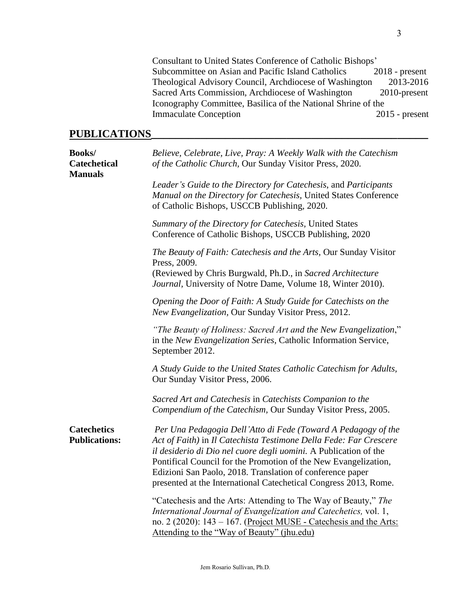Consultant to United States Conference of Catholic Bishops' Subcommittee on Asian and Pacific Island Catholics Theological Advisory Council, Archdiocese of Washington 2013-2016 Sacred Arts Commission, Archdiocese of Washington 2010-present Iconography Committee, Basilica of the National Shrine of the Immaculate Conception 2015 - present

## **PUBLICATIONS\_\_\_\_\_\_\_\_\_\_\_\_\_\_\_\_\_\_\_\_\_\_\_\_\_\_\_\_\_\_\_\_\_\_\_\_\_\_\_\_\_\_\_\_\_**

| <b>Books/</b><br><b>Catechetical</b><br><b>Manuals</b> | Believe, Celebrate, Live, Pray: A Weekly Walk with the Catechism<br>of the Catholic Church, Our Sunday Visitor Press, 2020.                                                                                                                                                                                                                                                                                |
|--------------------------------------------------------|------------------------------------------------------------------------------------------------------------------------------------------------------------------------------------------------------------------------------------------------------------------------------------------------------------------------------------------------------------------------------------------------------------|
|                                                        | Leader's Guide to the Directory for Catechesis, and Participants<br>Manual on the Directory for Catechesis, United States Conference<br>of Catholic Bishops, USCCB Publishing, 2020.                                                                                                                                                                                                                       |
|                                                        | Summary of the Directory for Catechesis, United States<br>Conference of Catholic Bishops, USCCB Publishing, 2020                                                                                                                                                                                                                                                                                           |
|                                                        | The Beauty of Faith: Catechesis and the Arts, Our Sunday Visitor<br>Press, 2009.<br>(Reviewed by Chris Burgwald, Ph.D., in Sacred Architecture<br>Journal, University of Notre Dame, Volume 18, Winter 2010).                                                                                                                                                                                              |
|                                                        | Opening the Door of Faith: A Study Guide for Catechists on the<br>New Evangelization, Our Sunday Visitor Press, 2012.                                                                                                                                                                                                                                                                                      |
|                                                        | "The Beauty of Holiness: Sacred Art and the New Evangelization,"<br>in the New Evangelization Series, Catholic Information Service,<br>September 2012.                                                                                                                                                                                                                                                     |
|                                                        | A Study Guide to the United States Catholic Catechism for Adults,<br>Our Sunday Visitor Press, 2006.                                                                                                                                                                                                                                                                                                       |
|                                                        | Sacred Art and Catechesis in Catechists Companion to the<br>Compendium of the Catechism, Our Sunday Visitor Press, 2005.                                                                                                                                                                                                                                                                                   |
| <b>Catechetics</b><br><b>Publications:</b>             | Per Una Pedagogia Dell'Atto di Fede (Toward A Pedagogy of the<br>Act of Faith) in Il Catechista Testimone Della Fede: Far Crescere<br>il desiderio di Dio nel cuore degli uomini. A Publication of the<br>Pontifical Council for the Promotion of the New Evangelization,<br>Edizioni San Paolo, 2018. Translation of conference paper<br>presented at the International Catechetical Congress 2013, Rome. |
|                                                        | "Catechesis and the Arts: Attending to The Way of Beauty," The<br>International Journal of Evangelization and Catechetics, vol. 1,<br>no. 2 (2020): 143 – 167. (Project MUSE - Catechesis and the Arts:<br>Attending to the "Way of Beauty" (jhu.edu)                                                                                                                                                      |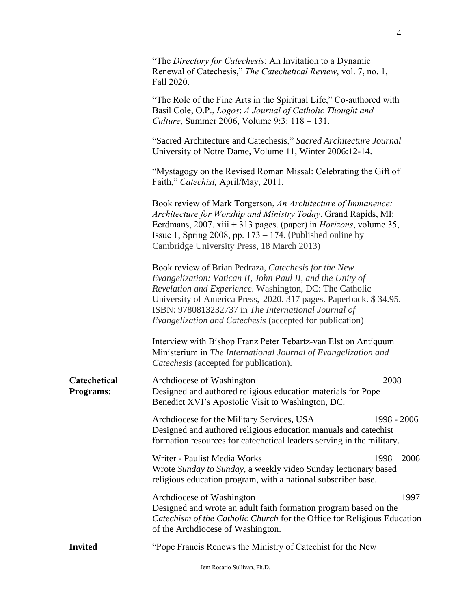|                                  | "The Directory for Catechesis: An Invitation to a Dynamic<br>Renewal of Catechesis," The Catechetical Review, vol. 7, no. 1,<br>Fall 2020.                                                                                                                                                                                                                            |
|----------------------------------|-----------------------------------------------------------------------------------------------------------------------------------------------------------------------------------------------------------------------------------------------------------------------------------------------------------------------------------------------------------------------|
|                                  | "The Role of the Fine Arts in the Spiritual Life," Co-authored with<br>Basil Cole, O.P., Logos: A Journal of Catholic Thought and<br>Culture, Summer 2006, Volume 9:3: 118 - 131.                                                                                                                                                                                     |
|                                  | "Sacred Architecture and Catechesis," Sacred Architecture Journal<br>University of Notre Dame, Volume 11, Winter 2006:12-14.                                                                                                                                                                                                                                          |
|                                  | "Mystagogy on the Revised Roman Missal: Celebrating the Gift of<br>Faith," Catechist, April/May, 2011.                                                                                                                                                                                                                                                                |
|                                  | Book review of Mark Torgerson, An Architecture of Immanence:<br>Architecture for Worship and Ministry Today. Grand Rapids, MI:<br>Eerdmans, 2007. xiii + 313 pages. (paper) in <i>Horizons</i> , volume 35,<br>Issue 1, Spring 2008, pp. $173 - 174$ . (Published online by<br>Cambridge University Press, 18 March 2013)                                             |
|                                  | Book review of Brian Pedraza, Catechesis for the New<br>Evangelization: Vatican II, John Paul II, and the Unity of<br>Revelation and Experience. Washington, DC: The Catholic<br>University of America Press, 2020. 317 pages. Paperback. \$34.95.<br>ISBN: 9780813232737 in The International Journal of<br>Evangelization and Catechesis (accepted for publication) |
|                                  | Interview with Bishop Franz Peter Tebartz-van Elst on Antiquum<br>Ministerium in The International Journal of Evangelization and<br>Catechesis (accepted for publication).                                                                                                                                                                                            |
| Catechetical<br><b>Programs:</b> | 2008<br>Archdiocese of Washington<br>Designed and authored religious education materials for Pope<br>Benedict XVI's Apostolic Visit to Washington, DC.                                                                                                                                                                                                                |
|                                  | Archdiocese for the Military Services, USA<br>1998 - 2006<br>Designed and authored religious education manuals and catechist<br>formation resources for catechetical leaders serving in the military.                                                                                                                                                                 |
|                                  | Writer - Paulist Media Works<br>$1998 - 2006$<br>Wrote Sunday to Sunday, a weekly video Sunday lectionary based<br>religious education program, with a national subscriber base.                                                                                                                                                                                      |
|                                  | 1997<br>Archdiocese of Washington<br>Designed and wrote an adult faith formation program based on the<br>Catechism of the Catholic Church for the Office for Religious Education<br>of the Archdiocese of Washington.                                                                                                                                                 |
| <b>Invited</b>                   | "Pope Francis Renews the Ministry of Catechist for the New                                                                                                                                                                                                                                                                                                            |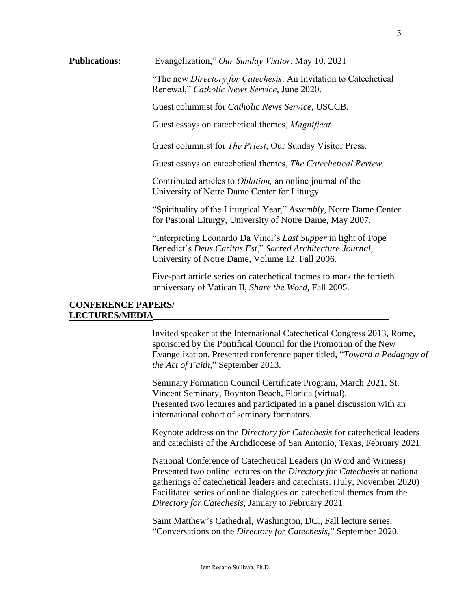"The new *Directory for Catechesis*: An Invitation to Catechetical Renewal," *Catholic News Service*, June 2020.

Guest columnist for *Catholic News Service*, USCCB.

Guest essays on catechetical themes, *Magnificat.*

Guest columnist for *The Priest*, Our Sunday Visitor Press.

Guest essays on catechetical themes, *The Catechetical Review*.

Contributed articles to *Oblation,* an online journal of the University of Notre Dame Center for Liturgy.

"Spirituality of the Liturgical Year," *Assembly,* Notre Dame Center for Pastoral Liturgy, University of Notre Dame, May 2007.

"Interpreting Leonardo Da Vinci's *Last Supper* in light of Pope Benedict's *Deus Caritas Est*," *Sacred Architecture Journal,*  University of Notre Dame, Volume 12*,* Fall 2006.

Five-part article series on catechetical themes to mark the fortieth anniversary of Vatican II, *Share the Word*, Fall 2005.

#### **CONFERENCE PAPERS/ LECTURES/MEDIA\_\_\_\_\_\_\_\_\_\_\_\_\_\_\_\_\_\_\_\_\_\_\_\_\_\_\_\_\_\_\_\_\_\_\_\_\_\_\_\_\_\_\_\_\_\_\_\_\_\_\_**

Invited speaker at the International Catechetical Congress 2013, Rome, sponsored by the Pontifical Council for the Promotion of the New Evangelization. Presented conference paper titled, "*Toward a Pedagogy of the Act of Faith,*" September 2013.

Seminary Formation Council Certificate Program, March 2021, St. Vincent Seminary, Boynton Beach, Florida (virtual). Presented two lectures and participated in a panel discussion with an international cohort of seminary formators.

Keynote address on the *Directory for Catechesis* for catechetical leaders and catechists of the Archdiocese of San Antonio, Texas, February 2021.

National Conference of Catechetical Leaders (In Word and Witness) Presented two online lectures on the *Directory for Catechesis* at national gatherings of catechetical leaders and catechists. (July, November 2020) Facilitated series of online dialogues on catechetical themes from the *Directory for Catechesis*, January to February 2021.

Saint Matthew's Cathedral, Washington, DC., Fall lecture series, "Conversations on the *Directory for Catechesis*," September 2020.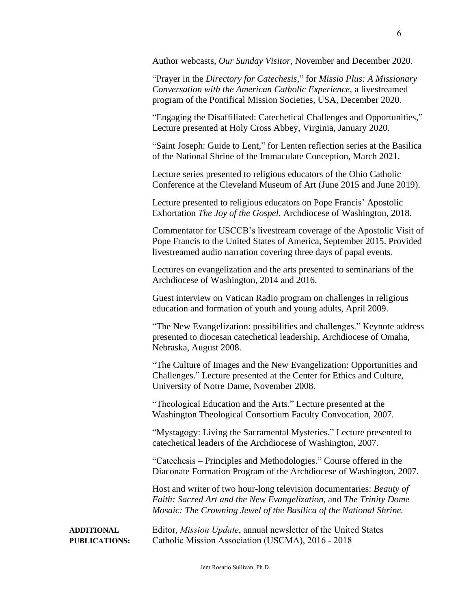Author webcasts, *Our Sunday Visitor*, November and December 2020.

"Prayer in the *Directory for Catechesis*," for *Missio Plus: A Missionary Conversation with the American Catholic Experience*, a livestreamed program of the Pontifical Mission Societies, USA, December 2020.

"Engaging the Disaffiliated: Catechetical Challenges and Opportunities," Lecture presented at Holy Cross Abbey, Virginia, January 2020.

"Saint Joseph: Guide to Lent," for Lenten reflection series at the Basilica of the National Shrine of the Immaculate Conception, March 2021.

Lecture series presented to religious educators of the Ohio Catholic Conference at the Cleveland Museum of Art (June 2015 and June 2019).

Lecture presented to religious educators on Pope Francis' Apostolic Exhortation *The Joy of the Gospel.* Archdiocese of Washington, 2018.

Commentator for USCCB's livestream coverage of the Apostolic Visit of Pope Francis to the United States of America, September 2015. Provided livestreamed audio narration covering three days of papal events.

Lectures on evangelization and the arts presented to seminarians of the Archdiocese of Washington, 2014 and 2016.

Guest interview on Vatican Radio program on challenges in religious education and formation of youth and young adults, April 2009.

"The New Evangelization: possibilities and challenges." Keynote address presented to diocesan catechetical leadership, Archdiocese of Omaha, Nebraska, August 2008.

"The Culture of Images and the New Evangelization: Opportunities and Challenges." Lecture presented at the Center for Ethics and Culture, University of Notre Dame, November 2008.

"Theological Education and the Arts." Lecture presented at the Washington Theological Consortium Faculty Convocation, 2007.

"Mystagogy: Living the Sacramental Mysteries." Lecture presented to catechetical leaders of the Archdiocese of Washington, 2007.

"Catechesis – Principles and Methodologies." Course offered in the Diaconate Formation Program of the Archdiocese of Washington, 2007.

Host and writer of two hour-long television documentaries: *Beauty of Faith: Sacred Art and the New Evangelization,* and *The Trinity Dome Mosaic: The Crowning Jewel of the Basilica of the National Shrine.*

**ADDITIONAL** Editor, *Mission Update*, annual newsletter of the United States **PUBLICATIONS:** Catholic Mission Association (USCMA), 2016 - 2018